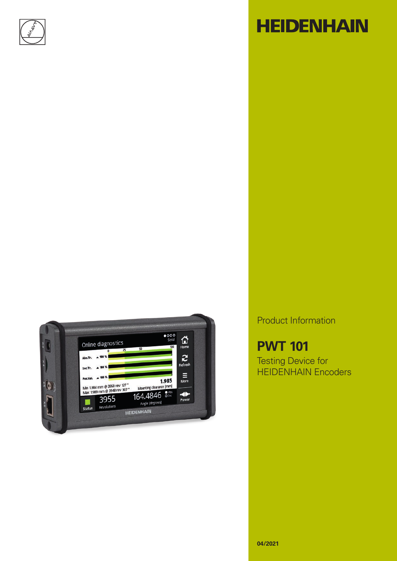

# **HEIDENHAIN**



Product Information

**PWT 101** Testing Device for HEIDENHAIN Encoders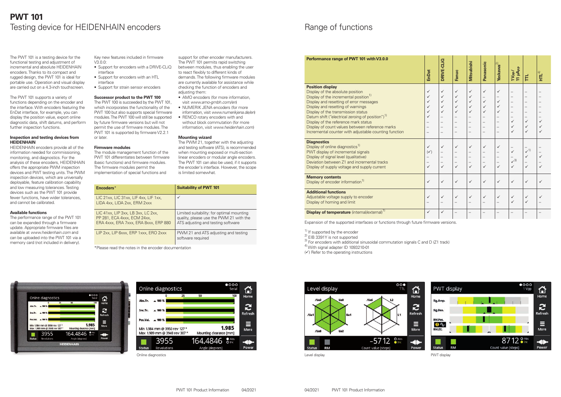### **PWT 101** Testing device for HEIDENHAIN encoders



Online diagnostics

The PWT 101 is a testing device for the functional testing and adjustment of incremental and absolute HEIDENHAIN encoders. Thanks to its compact and rugged design, the PWT 101 is ideal for portable use. Operation and visual display are carried out on a 4.3-inch touchscreen.

The PWT 101 supports a variety of functions depending on the encoder and the interface. With encoders featuring the EnDat interface, for example, you can display the position value, export online diagnostic data, shift datums, and perform further inspection functions.

#### **Inspection and testing devices from HEIDENHAIN**

HEIDENHAIN encoders provide all of the information needed for commissioning, monitoring, and diagnostics. For the analysis of these encoders, HEIDENHAIN offers the appropriate PWM inspection devices and PWT testing units. The PWM inspection devices, which are universally deployable, feature calibration capability and low measuring tolerances. Testing devices such as the PWT 101 provide fewer functions, have wider tolerances, and cannot be calibrated.

#### **Available functions**

The performance range of the PWT 101 can be expanded through a firmware update. Appropriate firmware files are available at *www.heidenhain.com* and can be uploaded into the PWT 101 via a memory card (not included in delivery).

Key new features included in firmware V3.0.0:

> The PWM 21, together with the adjusting and testing software (ATS), is recommended when mounting exposed or multi-section linear encoders or modular angle encoders. The PWT 101 can also be used, if it supports the encoder's interface. However, the scope is limited somewhat.

- Support for encoders with a DRIVE-CLiQ interface
- Support for encoders with an HTL interface
- Support for strain sensor encoders

### **Successor product to the PWT 100**

The PWT 100 is succeeded by the PWT 101, which incorporates the functionality of the PWT 100 but also supports special firmware modules. The PWT 100 will still be supported by future firmware versions but will not permit the use of firmware modules. The PWT 101 is supported by firmware V2.2.1 or later.

#### **Firmware modules**

Display of online diagnostics<sup>1)</sup> PWT display of incremental signals Display of signal level (qualitative) Deviation between Z1 and incremental tracks Display of supply voltage and supply current

The module management function of the PWT 101 differentiates between firmware (basic functions) and firmware modules. The firmware modules permit the implementation of special functions and

support for other encoder manufacturers. The PWT 101 permits rapid switching between modules, thus enabling the user to react flexibly to different kinds of demands. The following firmware modules are currently available for assistance while checking the function of encoders and adjusting them:

- AMO encoders (for more information, visit *www.amo-gmbh.com/en*)
- NUMERIK JENA encoders (for more information, visit *www.numerikjena.de/en*)
- RENCO rotary encoders with and without block commutation (for more information, visit *www.heidenhain.com*)

#### **Mounting wizard**



### Range of functions

### **Performance range of PWT 101 with V3.0.0**

### **Position display**

Display of the absolute position Display of the incremental position<sup>1)</sup> Display and resetting of error messages Display and resetting of warnings Display of the transmission status Datum shift ("electrical zeroing of position")<sup>1)</sup> Display of the reference mark status Display of count values between reference marks Incremental counter with adjustable counting function

| <b>EnDat</b>                                                                        | DRIVE-CLIQ                         | Fanuc                                | <b>Mitsubishi</b>                  | Panasonic                            | <b>Yaskawa</b> <sup>2)</sup>         | 11 µApp<br>1V <sub>pp</sub> /                | Ĕ                                            | HTL <sup>4</sup>                             |
|-------------------------------------------------------------------------------------|------------------------------------|--------------------------------------|------------------------------------|--------------------------------------|--------------------------------------|----------------------------------------------|----------------------------------------------|----------------------------------------------|
| 11111111                                                                            | 1 1 1 1 1 1 1 1                    | 111111                               | 11111                              | $\checkmark$<br>$\sim$ $\sim$ $\sim$ | $\checkmark$<br>$\frac{1}{\sqrt{2}}$ |                                              |                                              |                                              |
| $\begin{array}{c} \leftarrow \\ \leftarrow \\ \leftarrow \\ \leftarrow \end{array}$ | $\checkmark$<br>–<br>–<br>-<br>- ∕ | $\checkmark$<br>$\frac{1}{\sqrt{2}}$ | $\checkmark$<br>–<br>–<br>-<br>- ∕ | $\checkmark$<br>$\frac{1}{\sqrt{2}}$ | $\checkmark$<br>$\frac{1}{\sqrt{2}}$ | $\frac{1}{\sqrt{2}}$<br>$\frac{1}{\sqrt{3}}$ | $\frac{1}{\sqrt{1}}$<br>$\frac{1}{\sqrt{1}}$ | $\frac{1}{\sqrt{2}}$<br>$\frac{1}{\sqrt{2}}$ |
| $\checkmark$                                                                        | $\checkmark$                       | $\checkmark$                         | $\checkmark$                       | $\checkmark$                         | $\checkmark$                         | $\checkmark$                                 | $\checkmark$                                 | $\checkmark$                                 |
| $\checkmark$                                                                        | $\checkmark$                       | $\checkmark$                         | $\checkmark$                       | ✓                                    |                                      | $\checkmark$                                 | $\checkmark$                                 | $\checkmark$                                 |
| $\checkmark$                                                                        | $\checkmark$                       |                                      |                                    |                                      |                                      |                                              |                                              |                                              |

#### **Diagnostics**

#### **Memory contents**

Display of encoder information<sup>1)</sup>

#### **Additional functions**

Adjustable voltage supply to encoder Display of homing and limit

#### **Display of temperature** (internal/external)<sup>1</sup>

Expansion of the supported interfaces or functions through future firmware versions.

- 
- <sup>1)</sup> If supported by the encoder  $^{2)}$  EIB 3391Y is not supported
- $^{3)}$  For encoders with additional sinusoidal commutation signals C and D (Z1 track)

<sup>4)</sup> With signal adapter ID 1093210-01

 $(\checkmark)$  Refer to the operating instructions

| Encoders*                                                                                                  | <b>Suitability of PWT 101</b>                                                                                              |
|------------------------------------------------------------------------------------------------------------|----------------------------------------------------------------------------------------------------------------------------|
| LIC 21xx, LIC 31xx, LIF 4xx, LIF 1xx,<br>LIDA 4xx, LIDA 2xx, ERM 2xxx                                      |                                                                                                                            |
| LIC 41xx. LIP 3xx. LB 3xx. LC 2xx.<br>PP 281, ECA 4xxx, ECM 24xx,<br>ERA 4xxx, ERA 7xxx, ERA 8xxx, ERP 880 | Limited suitability: for optimal mounting<br>quality, please use the PWM 21 with the<br>ATS adjusting and testing software |
| LIP 2xx, LIP 6xxx, ERP 1xxx, ERO 2xxx                                                                      | PWM 21 and ATS adjusting and testing<br>software required                                                                  |

\*Please read the notes in the encoder documentation